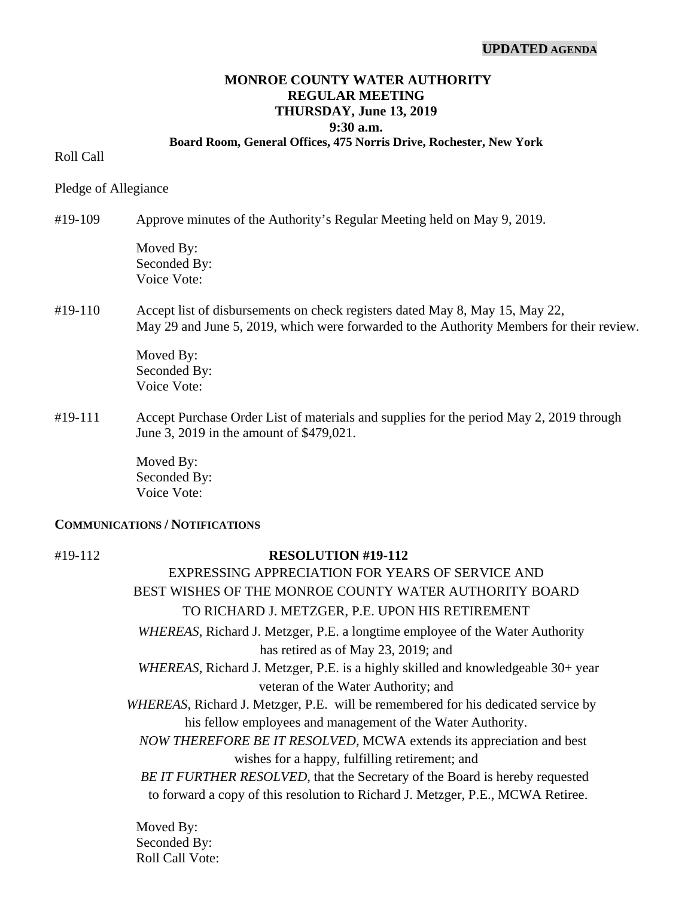### **UPDATED AGENDA**

## **MONROE COUNTY WATER AUTHORITY REGULAR MEETING THURSDAY, June 13, 2019 9:30 a.m.**

#### **Board Room, General Offices, 475 Norris Drive, Rochester, New York**

### Roll Call

Pledge of Allegiance

#19-109 Approve minutes of the Authority's Regular Meeting held on May 9, 2019.

Moved By: Seconded By: Voice Vote:

## #19-110 Accept list of disbursements on check registers dated May 8, May 15, May 22, May 29 and June 5, 2019, which were forwarded to the Authority Members for their review.

 Moved By: Seconded By: Voice Vote:

#19-111 Accept Purchase Order List of materials and supplies for the period May 2, 2019 through June 3, 2019 in the amount of \$479,021.

> Moved By: Seconded By: Voice Vote:

### **COMMUNICATIONS / NOTIFICATIONS**

# #19-112 **RESOLUTION #19-112**

EXPRESSING APPRECIATION FOR YEARS OF SERVICE AND BEST WISHES OF THE MONROE COUNTY WATER AUTHORITY BOARD TO RICHARD J. METZGER, P.E. UPON HIS RETIREMENT  *WHEREAS*, Richard J. Metzger, P.E. a longtime employee of the Water Authority has retired as of May 23, 2019; and  *WHEREAS*, Richard J. Metzger, P.E. is a highly skilled and knowledgeable 30+ year veteran of the Water Authority; and  *WHEREAS*, Richard J. Metzger, P.E. will be remembered for his dedicated service by his fellow employees and management of the Water Authority.  *NOW THEREFORE BE IT RESOLVED,* MCWA extends its appreciation and best wishes for a happy, fulfilling retirement; and  *BE IT FURTHER RESOLVED*, that the Secretary of the Board is hereby requested to forward a copy of this resolution to Richard J. Metzger, P.E., MCWA Retiree.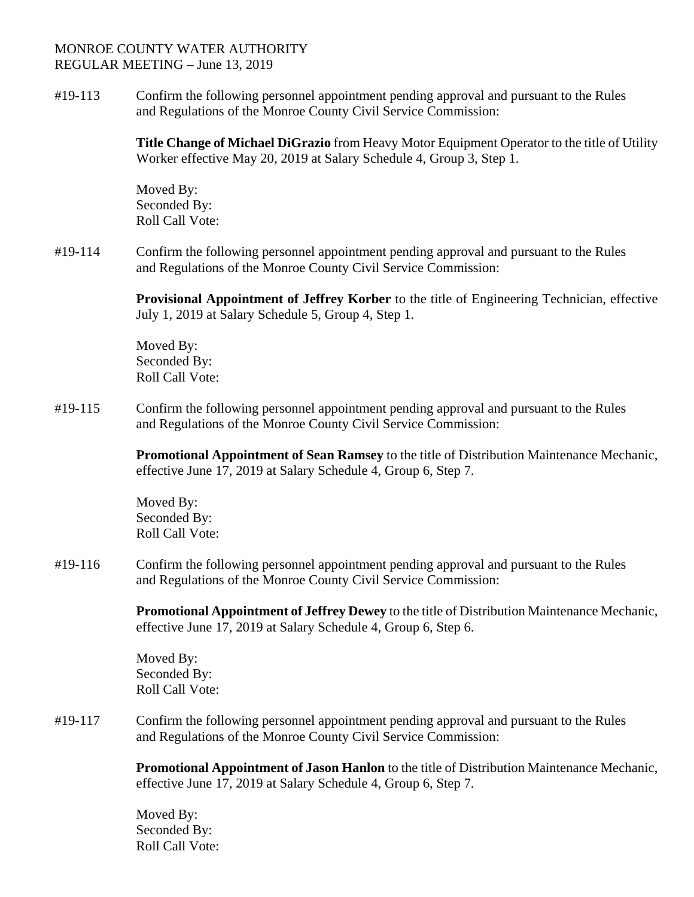#19-113 Confirm the following personnel appointment pending approval and pursuant to the Rules and Regulations of the Monroe County Civil Service Commission:

> **Title Change of Michael DiGrazio** from Heavy Motor Equipment Operator to the title of Utility Worker effective May 20, 2019 at Salary Schedule 4, Group 3, Step 1.

Moved By: Seconded By: Roll Call Vote:

#19-114 Confirm the following personnel appointment pending approval and pursuant to the Rules and Regulations of the Monroe County Civil Service Commission:

> **Provisional Appointment of Jeffrey Korber** to the title of Engineering Technician, effective July 1, 2019 at Salary Schedule 5, Group 4, Step 1.

Moved By: Seconded By: Roll Call Vote:

#19-115 Confirm the following personnel appointment pending approval and pursuant to the Rules and Regulations of the Monroe County Civil Service Commission:

> **Promotional Appointment of Sean Ramsey** to the title of Distribution Maintenance Mechanic, effective June 17, 2019 at Salary Schedule 4, Group 6, Step 7.

Moved By: Seconded By: Roll Call Vote:

#19-116 Confirm the following personnel appointment pending approval and pursuant to the Rules and Regulations of the Monroe County Civil Service Commission:

> **Promotional Appointment of Jeffrey Dewey** to the title of Distribution Maintenance Mechanic, effective June 17, 2019 at Salary Schedule 4, Group 6, Step 6.

Moved By: Seconded By: Roll Call Vote:

#19-117 Confirm the following personnel appointment pending approval and pursuant to the Rules and Regulations of the Monroe County Civil Service Commission:

> **Promotional Appointment of Jason Hanlon** to the title of Distribution Maintenance Mechanic, effective June 17, 2019 at Salary Schedule 4, Group 6, Step 7.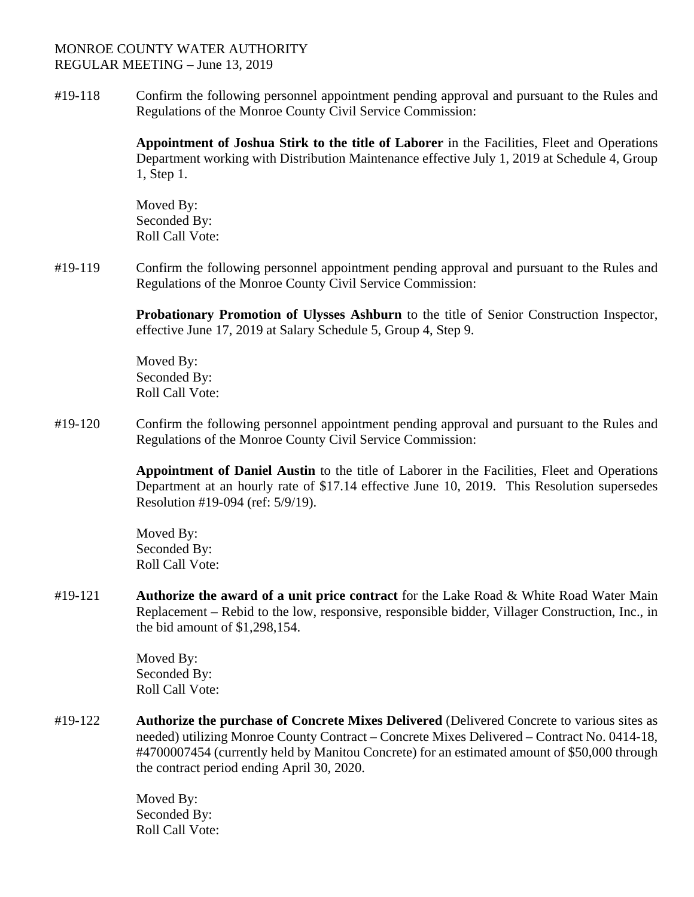#19-118 Confirm the following personnel appointment pending approval and pursuant to the Rules and Regulations of the Monroe County Civil Service Commission:

> **Appointment of Joshua Stirk to the title of Laborer** in the Facilities, Fleet and Operations Department working with Distribution Maintenance effective July 1, 2019 at Schedule 4, Group 1, Step 1.

Moved By: Seconded By: Roll Call Vote:

#19-119 Confirm the following personnel appointment pending approval and pursuant to the Rules and Regulations of the Monroe County Civil Service Commission:

> **Probationary Promotion of Ulysses Ashburn** to the title of Senior Construction Inspector, effective June 17, 2019 at Salary Schedule 5, Group 4, Step 9.

Moved By: Seconded By: Roll Call Vote:

#19-120 Confirm the following personnel appointment pending approval and pursuant to the Rules and Regulations of the Monroe County Civil Service Commission:

> **Appointment of Daniel Austin** to the title of Laborer in the Facilities, Fleet and Operations Department at an hourly rate of \$17.14 effective June 10, 2019. This Resolution supersedes Resolution #19-094 (ref: 5/9/19).

Moved By: Seconded By: Roll Call Vote:

#19-121 **Authorize the award of a unit price contract** for the Lake Road & White Road Water Main Replacement – Rebid to the low, responsive, responsible bidder, Villager Construction, Inc., in the bid amount of \$1,298,154.

> Moved By: Seconded By: Roll Call Vote:

#19-122 **Authorize the purchase of Concrete Mixes Delivered** (Delivered Concrete to various sites as needed) utilizing Monroe County Contract – Concrete Mixes Delivered – Contract No. 0414-18, #4700007454 (currently held by Manitou Concrete) for an estimated amount of \$50,000 through the contract period ending April 30, 2020.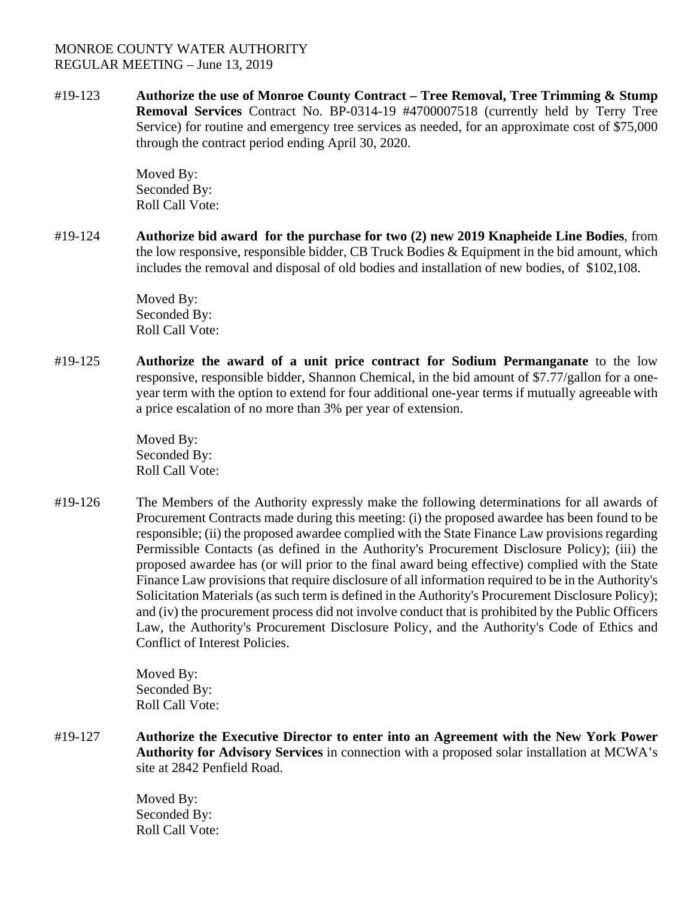#19-123 **Authorize the use of Monroe County Contract – Tree Removal, Tree Trimming & Stump Removal Services** Contract No. BP-0314-19 #4700007518 (currently held by Terry Tree Service) for routine and emergency tree services as needed, for an approximate cost of \$75,000 through the contract period ending April 30, 2020.

> Moved By: Seconded By: Roll Call Vote:

#19-124 **Authorize bid award for the purchase for two (2) new 2019 Knapheide Line Bodies**, from the low responsive, responsible bidder, CB Truck Bodies  $\&$  Equipment in the bid amount, which includes the removal and disposal of old bodies and installation of new bodies, of \$102,108.

> Moved By: Seconded By: Roll Call Vote:

#19-125 **Authorize the award of a unit price contract for Sodium Permanganate** to the low responsive, responsible bidder, Shannon Chemical, in the bid amount of \$7.77/gallon for a oneyear term with the option to extend for four additional one-year terms if mutually agreeable with a price escalation of no more than 3% per year of extension.

> Moved By: Seconded By: Roll Call Vote:

#19-126 The Members of the Authority expressly make the following determinations for all awards of Procurement Contracts made during this meeting: (i) the proposed awardee has been found to be responsible; (ii) the proposed awardee complied with the State Finance Law provisions regarding Permissible Contacts (as defined in the Authority's Procurement Disclosure Policy); (iii) the proposed awardee has (or will prior to the final award being effective) complied with the State Finance Law provisions that require disclosure of all information required to be in the Authority's Solicitation Materials (as such term is defined in the Authority's Procurement Disclosure Policy); and (iv) the procurement process did not involve conduct that is prohibited by the Public Officers Law, the Authority's Procurement Disclosure Policy, and the Authority's Code of Ethics and Conflict of Interest Policies.

> Moved By: Seconded By: Roll Call Vote:

#19-127 **Authorize the Executive Director to enter into an Agreement with the New York Power Authority for Advisory Services** in connection with a proposed solar installation at MCWA's site at 2842 Penfield Road.